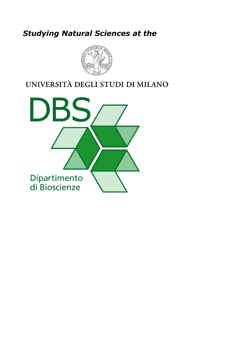# *Studying Natural Sciences at the*



## UNIVERSITÀ DEGLI STUDI DI MILANO

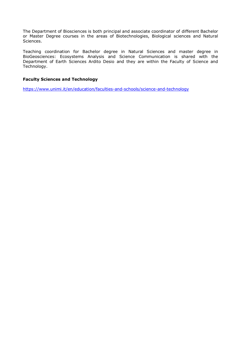The Department of Biosciences is both principal and associate coordinator of different Bachelor or Master Degree courses in the areas of Biotechnologies, Biological sciences and Natural Sciences.

Teaching coordination for Bachelor degree in Natural Sciences and master degree in BioGeosciences: Ecosystems Analysis and Science Communication is shared with the Department of Earth Sciences Ardito Desio and they are within the Faculty of Science and Technology.

#### **Faculty Sciences and Technology**

<https://www.unimi.it/en/education/faculties-and-schools/science-and-technology>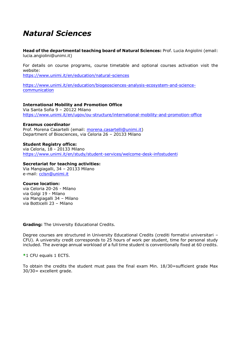## *Natural Sciences*

**Head of the departmental teaching board of Natural Sciences:** Prof. Lucia Angiolini (email: lucia.angiolini@unimi.it)

For details on course programs, course timetable and optional courses activation visit the website:

<https://www.unimi.it/en/education/natural-sciences>

[https://www.unimi.it/en/education/biogeosciences-analysis-ecosystem-and-science](https://www.unimi.it/en/education/biogeosciences-analysis-ecosystem-and-science-communication)[communication](https://www.unimi.it/en/education/biogeosciences-analysis-ecosystem-and-science-communication)

#### **International Mobility and Promotion Office**

Via Santa Sofia 9 – 20122 Milano <https://www.unimi.it/en/ugov/ou-structure/international-mobility-and-promotion-office>

#### **Erasmus coordinator**

Prof. Morena Casartelli (email: [morena.casartelli@unimi.it\)](mailto:morena.casartelli@unimi.it) Department of Biosciences, via Celoria 26 – 20133 Milano

#### **Student Registry office:**

via Celoria, 18 - 20133 Milano <https://www.unimi.it/en/study/student-services/welcome-desk-infostudenti>

#### **Secretariat for teaching activities:**

Via Mangiagalli, 34 – 20133 Milano e-mail: [cclsn@unimi.it](mailto:cclsn@unimi.it)

#### **Course location:**

via Celoria 20-26 - Milano via Golgi 19 - Milano via Mangiagalli 34 – Milano via Botticelli 23 – Milano

**Grading:** The University Educational Credits.

Degree courses are structured in University Educational Credits (crediti formativi universitari – CFU). A university credit corresponds to 25 hours of work per student, time for personal study included. The average annual workload of a full time student is conventionally fixed at 60 credits.

**\***1 CFU equals 1 ECTS.

To obtain the credits the student must pass the final exam Min. 18/30=sufficient grade Max 30/30= excellent grade.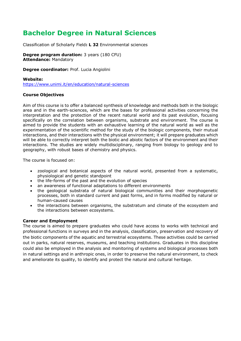### **Bachelor Degree in Natural Sciences**

Classification of Scholarly Field**: L 32** Environmental sciences

**Degree program duration:** 3 years (180 CFU) **Attendance:** Mandatory

**Degree coordinator:** Prof. Lucia Angiolini

#### **Website:**

<https://www.unimi.it/en/education/natural-sciences>

#### **Course Objectives**

Aim of this course is to offer a balanced synthesis of knowledge and methods both in the biologic area and in the earth-sciences, which are the bases for professional activities concerning the interpretation and the protection of the recent natural world and its past evolution, focusing specifically on the correlation between organisms, substrate and environment. The course is aimed to provide the students with an exhaustive learning of the natural world as well as the experimentation of the scientific method for the study of the biologic components, their mutual interactions, and their interactions with the physical environment; it will prepare graduates which will be able to correctly interpret both the biotic and abiotic factors of the environment and their interactions. The studies are widely multidisciplinary, ranging from biology to geology and to geography, with robust bases of chemistry and physics.

The course is focused on:

- zoological and botanical aspects of the natural world, presented from a systematic, physiological and genetic standpoint
- the life-forms of the past and the evolution of species
- an awareness of functional adaptations to different environments
- the geological substrata of natural biological communities and their morphogenetic processes, both in standard current and past forms, and in forms modified by natural or human-caused causes
- the interactions between organisms, the substratum and climate of the ecosystem and the interactions between ecosystems.

#### **Career and Employment**

The course is aimed to prepare graduates who could have access to works with technical and professional functions in surveys and in the analysis, classification, preservation and recovery of the biotic components of the aquatic and terrestrial ecosystems. These activities could be carried out in parks, natural reserves, museums, and teaching institutions. Graduates in this discipline could also be employed in the analysis and monitoring of systems and biological processes both in natural settings and in anthropic ones, in order to preserve the natural environment, to check and ameliorate its quality, to identify and protect the natural and cultural heritage.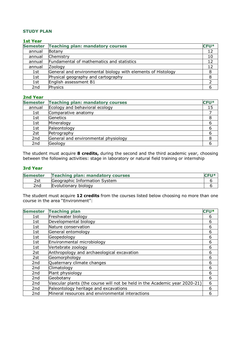#### **STUDY PLAN**

#### **1st Year**

| <b>Semester</b> | <b>Teaching plan: mandatory courses</b>                      | <b>CFU*</b> |
|-----------------|--------------------------------------------------------------|-------------|
| annual          | Botany                                                       | 12          |
| annual          | Chemistry                                                    | 10          |
| annual          | Fundamental of mathematics and statistics                    | 12          |
| annual          | Zoology                                                      | 12          |
| 1st             | General and environmental biology with elements of Histology | 8           |
| 1st             | Physical geography and cartography                           | 8           |
| 1st             | English assessment B1                                        |             |
| 2 <sub>nd</sub> | Physics                                                      | 6           |

#### **2nd Year**

| <b>Semester</b> | <b>Teaching plan: mandatory courses</b> | <b>CFU*</b> |
|-----------------|-----------------------------------------|-------------|
| annual          | Ecology and behavioral ecology          | 15          |
| 1st             | Comparative anatomy                     |             |
| 1st             | Genetics                                |             |
| 1st             | Mineralogy                              |             |
| 1st             | Paleontology                            |             |
| 2st             | Petrography                             |             |
| 2nd             | General and environmental physiology    |             |
| 2 <sub>nd</sub> | Geology                                 |             |

The student must acquire **8 credits,** during the second and the third academic year, choosing between the following activities: stage in laboratory or natural field training or internship

#### **3rd Year**

| <b>Semester</b> | <b>Teaching plan: mandatory courses</b> |  |
|-----------------|-----------------------------------------|--|
| 2st             | Geographic Information System           |  |
| 2 <sub>nd</sub> | Evolutionary biology                    |  |

The student must acquire **12 credits** from the courses listed below choosing no more than one course in the area "Environment":

| <b>Semester</b> | <b>Teaching plan</b>                                                       | <b>CFU*</b> |
|-----------------|----------------------------------------------------------------------------|-------------|
| 1st             | Freshwater biology                                                         | 6           |
| 1st             | Developmental biology                                                      | 6           |
| 1st             | Nature conservation                                                        | 6           |
| 1st             | General entomology                                                         | 6           |
| 1st             | Geopedology                                                                | 6           |
| 1st             | Environmental microbiology                                                 | 6           |
| 1st             | Vertebrate zoology                                                         | 6           |
| 2st             | Anthropology and archaeological excavation                                 | 6           |
| 2st             | Geomorphology                                                              | 6           |
| 2nd             | Quaternary climate changes                                                 | 6           |
| 2nd             | Climatology                                                                | 6           |
| 2nd             | Plant physiology                                                           | 6           |
| 2nd             | Geobotany                                                                  | 6           |
| 2nd             | Vascular plants (the course will not be held in the Academic year 2020-21) | 6           |
| 2nd             | Paleontology heritage and excavations                                      | 6           |
| 2nd             | Mineral resources and environmental interactions                           | 6           |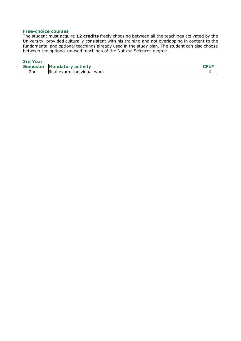#### **Free-choice courses**

The student must acquire **12 credits** freely choosing between all the teachings activated by the University, provided culturally consistent with his training and not overlapping in content to the fundamental and optional teachings already used in the study plan. The student can also choose between the optional unused teachings of the Natural Sciences degree.

#### **3rd Year**

| ________                                                                |                                                                                                                                                                                                                                                   |
|-------------------------------------------------------------------------|---------------------------------------------------------------------------------------------------------------------------------------------------------------------------------------------------------------------------------------------------|
| .<br>.<br><b>Semester</b><br><b>Manday</b><br>, activity<br>atorv       | <b>CONTRACT</b><br>and the contract of the contract of the contract of the contract of the contract of the contract of the contract of the contract of the contract of the contract of the contract of the contract of the contract of the contra |
| <br>.<br>$\sim$<br>2nd<br>work<br><u>individual</u><br>final.<br>. exar |                                                                                                                                                                                                                                                   |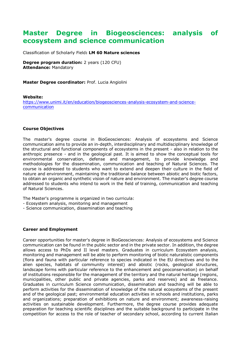### **Master Degree in Biogeosciences: analysis of ecosystem and science communication**

Classification of Scholarly Field**: LM 60 Nature sciences**

**Degree program duration:** 2 years (120 CFU) **Attendance:** Mandatory

**Master Degree coordinator:** Prof. Lucia Angiolini

#### **Website:**

[https://www.unimi.it/en/education/biogeosciences-analysis-ecosystem-and-science](https://www.unimi.it/en/education/biogeosciences-analysis-ecosystem-and-science-communication)[communication](https://www.unimi.it/en/education/biogeosciences-analysis-ecosystem-and-science-communication)

#### **Course Objectives**

The master's degree course in BioGeosciences: Analysis of ecosystems and Science communication aims to provide an in-depth, interdisciplinary and multidisciplinary knowledge of the structural and functional components of ecosystems in the present - also in relation to the anthropic presence - and in the geological past. It is aimed to show the conceptual tools for environmental conservation, defense and management, to provide knowledge and methodologies for the dissemination, communication and teaching of Natural Sciences. The course is addressed to students who want to extend and deepen their culture in the field of nature and environment, maintaining the traditional balance between abiotic and biotic factors, to obtain an organic and synthetic vision of nature and environment. The master's degree course addressed to students who intend to work in the field of training, communication and teaching of Natural Sciences.

The Master's programme is organized in two curricula:

- Ecosystem analysis, monitoring and management
- Science communication, dissemination and teaching

#### **Career and Employment**

Career opportunities for master's degree in BioGeosciences: Analysis of ecosystems and Science communication can be found in the public sector and in the private sector. In addition, the degree allows access to PhDs and II level masters. Graduates in curriculum Ecosystem analysis, monitoring and management will be able to perform monitoring of biotic naturalistic components (flora and fauna with particular reference to species indicated in the EU directives and to the alien species, habitats of community interest) and abiotic (rocks, geological structures, landscape forms with particular reference to the enhancement and geoconservation) on behalf of institutions responsible for the management of the territory and the natural heritage (regions, municipalities, other public and private agencies, parks and reserves) and as freelance. Graduates in curriculum Science communication, dissemination and teaching will be able to perform activities for the dissemination of knowledge of the natural ecosystems of the present and of the geological past; environmental education activities in schools and institutions, parks and organizations; preparation of exhibitions on nature and environment; awareness-raising activities on sustainable development. Furthermore, the degree course provides adequate preparation for teaching scientific disciplines and the suitable background to participate in the competition for access to the role of teacher of secondary school, according to current Italian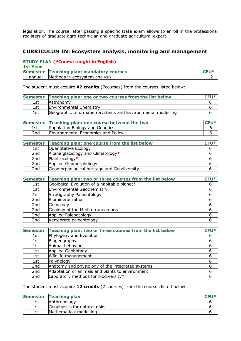legislation. The course, after passing a specific state exam allows to enroll in the professional registers of graduate agro-technician and graduate agricultural expert.

### **CURRICULUM IN: Ecosystem analysis, monitoring and management**

#### **STUDY PLAN (\*Course taught in English)**

| <b>1st Year</b> |                                           |  |
|-----------------|-------------------------------------------|--|
|                 | Semester Teaching plan: mandatory courses |  |
| annual          | Methods in ecosystem analysis             |  |

The student must acquire **42 credits** (7courses) from the courses listed below:

|     | Semester Teaching plan: one or two courses from the list below | $CEU*$ |
|-----|----------------------------------------------------------------|--------|
| 1st | Astronomy                                                      |        |
| 1st | <b>Environmental Chemistry</b>                                 |        |
| 1st | Geographic Information Systems and Environmental modelling     |        |

|     | Semester Teaching plan: one course between the two | $C$ <b>FII</b> $*$ |
|-----|----------------------------------------------------|--------------------|
| 1st | Population Biology and Genetics                    |                    |
| 2nd | <b>Environmental Economics and Policy</b>          |                    |

|     | Semester Teaching plan: one course from the list below | $CEU*$ |
|-----|--------------------------------------------------------|--------|
| 1st | Quantitative Ecology                                   |        |
| 2nd | Alpine glaciology and Climatology*                     |        |
| 2nd | Plant ecology*                                         |        |
| 2nd | Applied Geomorphology                                  |        |
| 2nd | Geomorphological heritage and Geodiversity             |        |

| <b>Semester</b> | Teaching plan: two or three courses from the list below | CFU* |
|-----------------|---------------------------------------------------------|------|
| 1st             | Geological Evolution of a habitable planet*             | 6    |
| 1st             | Environmental Geochemistry                              | 6    |
| 1st             | Stratigraphy Paleontology                               | 6    |
| 2nd             | Biomineralization                                       | 6    |
| 2nd             | Gemology                                                | 6    |
| 2nd             | Geology of the Mediterranean area                       | 6    |
| 2nd             | Applied Paleoecology                                    | 6    |
| 2nd             | Vertebrate paleontology                                 |      |

| <b>Semester</b> | Teaching plan: two or three courses from the list below | CFU* |
|-----------------|---------------------------------------------------------|------|
| 1st             | Phylogeny and Evolution                                 | 6    |
| 1st             | Biogeography                                            | 6    |
| 1st             | Animal behavior                                         | 6    |
| 1st             | <b>Applied Geobotany</b>                                | 6    |
| 1st             | Wildlife management                                     | 6    |
| 1st             | Palynology                                              | 6    |
| 2nd             | Anatomy and physiology of the integrated systems        |      |
| 2nd             | Adaptation of animals and plants to environment         | 6    |
| 2nd             | Laboratory methods for biodiversity*                    |      |

The student must acquire **12 credits** (2 courses) from the courses listed below:

|     | Semester Teaching plan       | CEII* |
|-----|------------------------------|-------|
| 1st | Anthropology                 |       |
| 1st | Geophysics for natural risks |       |
| 1st | Mathematical modelling       |       |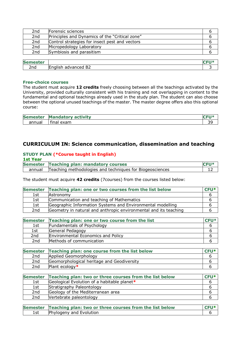| 2nd | Forensic sciences                              |  |
|-----|------------------------------------------------|--|
| 2nd | Principles and Dynamics of the "Critical zone" |  |
| 2nd | Control strategies for insect pest and vectors |  |
| 2nd | Micropedology Laboratory                       |  |
| 2nd | Symbiosis and parasitism                       |  |

| <b>Sei</b><br>----<br>uc.<br>.  |                                                                       |  |
|---------------------------------|-----------------------------------------------------------------------|--|
| $\overline{\phantom{a}}$<br>Znd | $\sim$<br><b>Englis</b><br>anced<br>--<br>.<br>◡<br>DZ<br>174110<br>▱ |  |
|                                 |                                                                       |  |

#### **Free-choice courses**

The student must acquire **12 credits** freely choosing between all the teachings activated by the University, provided culturally consistent with his training and not overlapping in content to the fundamental and optional teachings already used in the study plan. The student can also choose between the optional unused teachings of the master. The master degree offers also this optional course:

| <b>Semester</b> | a sa<br>tivity          | <b>STATISTICS</b><br>IV. |
|-----------------|-------------------------|--------------------------|
| annual          | <br>exam<br>$+ \cdot -$ | $\sim$<br>≺⊾<br>- -      |

### **CURRICULUM IN: Science communication, dissemination and teaching**

#### **STUDY PLAN (\*Course taught in English) 1st Year**

| ust rear |                                                          |             |
|----------|----------------------------------------------------------|-------------|
|          | Semester Teaching plan: mandatory courses                | <b>CFU*</b> |
| annual   | Teaching methodologies and techniques for Biogeosciences |             |

The student must acquire **42 credits** (7courses) from the courses listed below:

|     | Semester Teaching plan: one or two courses from the list below   | $CFU*$ |
|-----|------------------------------------------------------------------|--------|
| 1st | Astronomy                                                        | ь      |
| 1st | Communication and teaching of Mathematics                        | b      |
| 1st | Geographic Information Systems and Environmental modelling       | b      |
| 2nd | Geometry in natural and anthropic environmental and its teaching | h      |

| <b>Semester</b> | Teaching plan: one or two course from the list | $CEU*$ |
|-----------------|------------------------------------------------|--------|
| 1st             | Fundamentals of Psychology                     |        |
| 1st             | General Pedagogy                               |        |
| 2nd             | <b>Environmental Economics and Policy</b>      |        |
| 2nd             | Methods of communication                       |        |

|     | Semester Teaching plan: one course from the list below | $C$ <b>FII</b> * |
|-----|--------------------------------------------------------|------------------|
| 2nd | Applied Geomorphology                                  |                  |
| 2nd | Geomorphological heritage and Geodiversity             |                  |
| 2nd | Plant ecology $*$                                      |                  |

|     | Semester Teaching plan: two or three courses from the list below | $CFU*$ |
|-----|------------------------------------------------------------------|--------|
| 1st | Geological Evolution of a habitable planet*                      |        |
| 1st | Stratigraphy Paleontology                                        |        |
| 2nd | Geology of the Mediterranean area                                |        |
| 2nd | Vertebrate paleontology                                          |        |

|     | Semester Teaching plan: two or three courses from the list below |  |
|-----|------------------------------------------------------------------|--|
| 1st | Phylogeny and Evolution                                          |  |